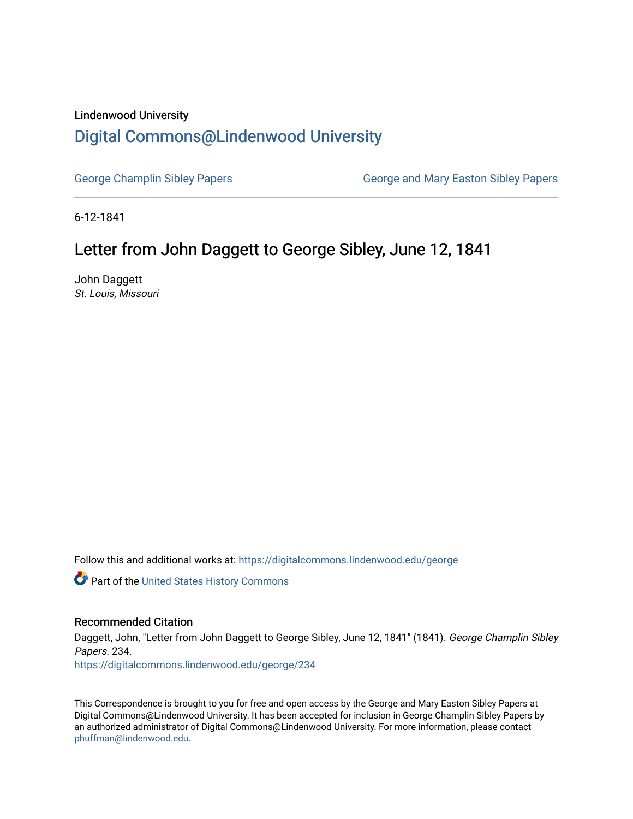## Lindenwood University

## [Digital Commons@Lindenwood University](https://digitalcommons.lindenwood.edu/)

[George Champlin Sibley Papers](https://digitalcommons.lindenwood.edu/george) George and Mary Easton Sibley Papers

6-12-1841

## Letter from John Daggett to George Sibley, June 12, 1841

John Daggett St. Louis, Missouri

Follow this and additional works at: [https://digitalcommons.lindenwood.edu/george](https://digitalcommons.lindenwood.edu/george?utm_source=digitalcommons.lindenwood.edu%2Fgeorge%2F234&utm_medium=PDF&utm_campaign=PDFCoverPages)

Part of the [United States History Commons](http://network.bepress.com/hgg/discipline/495?utm_source=digitalcommons.lindenwood.edu%2Fgeorge%2F234&utm_medium=PDF&utm_campaign=PDFCoverPages) 

## Recommended Citation

Daggett, John, "Letter from John Daggett to George Sibley, June 12, 1841" (1841). George Champlin Sibley Papers. 234. [https://digitalcommons.lindenwood.edu/george/234](https://digitalcommons.lindenwood.edu/george/234?utm_source=digitalcommons.lindenwood.edu%2Fgeorge%2F234&utm_medium=PDF&utm_campaign=PDFCoverPages)

This Correspondence is brought to you for free and open access by the George and Mary Easton Sibley Papers at Digital Commons@Lindenwood University. It has been accepted for inclusion in George Champlin Sibley Papers by an authorized administrator of Digital Commons@Lindenwood University. For more information, please contact [phuffman@lindenwood.edu](mailto:phuffman@lindenwood.edu).